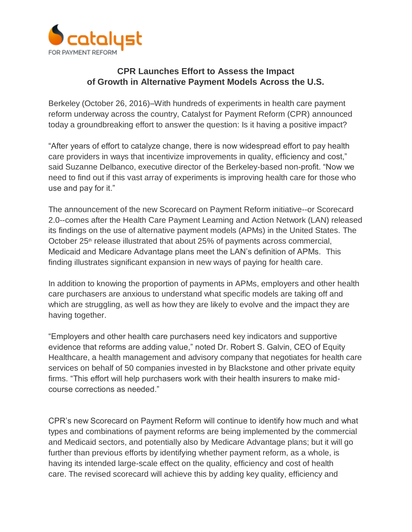

## **CPR Launches Effort to Assess the Impact of Growth in Alternative Payment Models Across the U.S.**

Berkeley (October 26, 2016)–With hundreds of experiments in health care payment reform underway across the country, Catalyst for Payment Reform (CPR) announced today a groundbreaking effort to answer the question: Is it having a positive impact?

"After years of effort to catalyze change, there is now widespread effort to pay health care providers in ways that incentivize improvements in quality, efficiency and cost," said Suzanne Delbanco, executive director of the Berkeley-based non-profit. "Now we need to find out if this vast array of experiments is improving health care for those who use and pay for it."

The announcement of the new Scorecard on Payment Reform initiative--or Scorecard 2.0--comes after the Health Care Payment Learning and Action Network (LAN) released its findings on the use of alternative payment models (APMs) in the United States. The October 25<sup>th</sup> release illustrated that about 25% of payments across commercial, Medicaid and Medicare Advantage plans meet the LAN's definition of APMs. This finding illustrates significant expansion in new ways of paying for health care.

In addition to knowing the proportion of payments in APMs, employers and other health care purchasers are anxious to understand what specific models are taking off and which are struggling, as well as how they are likely to evolve and the impact they are having together.

"Employers and other health care purchasers need key indicators and supportive evidence that reforms are adding value," noted Dr. Robert S. Galvin, CEO of Equity Healthcare, a health management and advisory company that negotiates for health care services on behalf of 50 companies invested in by Blackstone and other private equity firms. "This effort will help purchasers work with their health insurers to make midcourse corrections as needed."

CPR's new Scorecard on Payment Reform will continue to identify how much and what types and combinations of payment reforms are being implemented by the commercial and Medicaid sectors, and potentially also by Medicare Advantage plans; but it will go further than previous efforts by identifying whether payment reform, as a whole, is having its intended large-scale effect on the quality, efficiency and cost of health care. The revised scorecard will achieve this by adding key quality, efficiency and